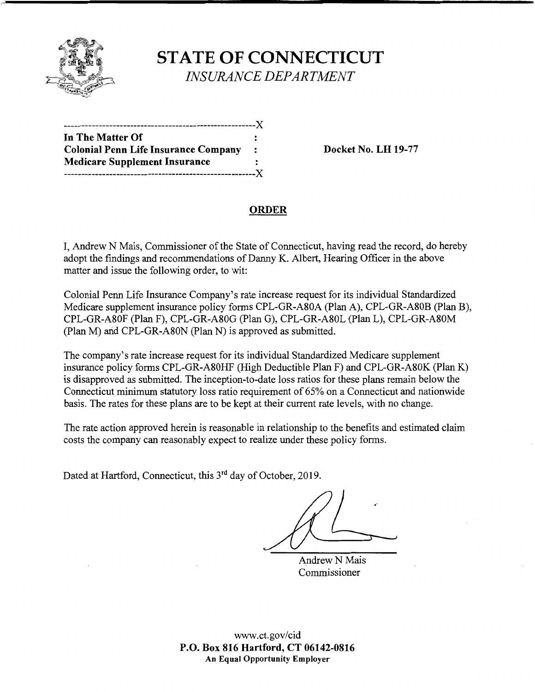

## **STATE OF CONNECTICUT**  *INSURANCE DEPARTMENT*

| In The Matter Of                            |                |
|---------------------------------------------|----------------|
| <b>Colonial Penn Life Insurance Company</b> | $\ddot{\cdot}$ |
| <b>Medicare Supplement Insurance</b>        |                |
| ---------------                             | . <b>X</b>     |

**Docket No. LH 19-77** 

### **ORDER**

I, Andrew N Mais, Commissioner of the State of Connecticut, having read the record, do hereby adopt the findings and recommendations of Danny K. Albert, Hearing Officer in the above matter and issue the following order, to wit:

Colonial Penn Life Insurance Company's rate increase request for its individual Standardized Medicare supplement insurance policy forms CPL-GR-A80A (Plan A), CPL-GR-A80B (Plan B), CPL-GR-A80F (Plan F), CPL-GR-A80G (Plan G), CPL-GR-A80L (Plan L), CPL-GR-A80M (Plan M) and CPL-GR-A80N (Plan N) is approved as submitted.

The company's rate increase request for its individual Standardized Medicare supplement insurance policy forms CPL-GR-A80HF (High Deductible Plan F) and CPL-GR-A80K (Plan K) is disapproved as submitted. The inception-to-date loss ratios for these plans remain below the Connecticut minimum statutory loss ratio requirement of 65% on a Connecticut and nationwide basis. The rates for these plans are to be kept at their current rate levels, with no change.

The rate action approved herein is reasonable in relationship to the benefits and estimated claim costs the company can reasonably expect to realize under these policy forms.

Dated at Hartford, Connecticut, this 3<sup>rd</sup> day of October, 2019.

Andrew N Mais Commissioner

www.ct.gov/cid **P.O. Box 816 Hartford, CT 06142-0816 An Equal Opportunity Employer**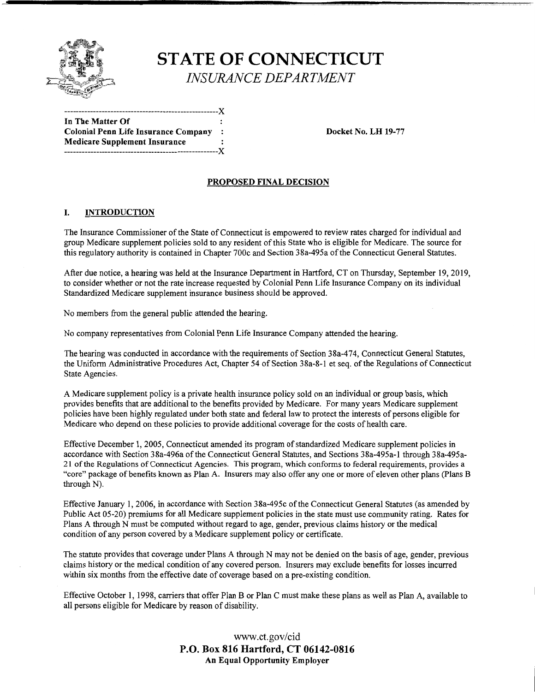

# **STATE OF CONNECTICUT**  *INSURANCE DEPARTMENT*

-----------------------------------------------------**X In The Matter Of Colonial Penn Life Insurance Company** : **Medicare Supplement Insurance**  -----------------------------------------------------X

**Docket No. LH 19-77** 

#### **PROPOSED FINAL DECISION**

#### I. **INTRODUCTION**

The Insurance Commissioner of the State of Connecticut is empowered to review rates charged for individual and group Medicare supplement policies sold to any resident of this State who is eligible for Medicare. The source for this regulatory authority is contained in Chapter 700c and Section 38a-495a of the Connecticut General Statutes.

After due notice, a hearing was held at the Insurance Department in Hartford, CT on Thursday, September 19, 2019, to consider whether or not the rate increase requested by Colonial Penn Life Insurance Company on its individual Standardized Medicare supplement insurance business should be approved.

No members from the general public attended the hearing.

No company representatives from Colonial Penn Life Insurance Company attended the hearing.

The hearing was conducted in accordance with the requirements of Section 38a-474, Connecticut General Statutes, the Uniform Administrative Procedures Act, Chapter 54 of Section 38a-8-l et seq. of the Regulations of Connecticut State Agencies.

A Medicare supplement policy is a private health insurance policy sold on an individual or group basis, which provides benefits that are additional to the benefits provided by Medicare. For many years Medicare supplement policies have been highly regulated under both state and federal law to protect the interests of persons eligible for Medicare who depend on these policies to provide additional coverage for the costs of health care.

Effective December I, 2005, Connecticut amended its program of standardized Medicare supplement policies in accordance with Section 38a-496a of the Connecticut General Statutes, and Sections 38a-495a-l through 38a-495a-21 of the Regulations of Connecticut Agencies. This program, which conforms to federal requirements, provides a "core" package of benefits known as Plan A. Insurers may also offer any one or more of eleven other plans (Plans B through N).

Effective January I, 2006, in accordance with Section 38a-495c of the Connecticut General Statutes (as amended by Public Act 05-20) premiums for all Medicare supplement policies in the state must use community rating. Rates for Plans A through N must be computed without regard to age, gender, previous claims history or the medical condition of any person covered by a Medicare supplement policy or certificate.

The statute provides that coverage under Plans A through N may not be denied on the basis of age, gender, previous claims history or the medical condition of any covered person. Insurers may exclude benefits for losses incurred within six months from the effective date of coverage based on a pre-existing condition.

Effective October I, 1998, carriers that offer Plan B or Plan C must make these plans as well as Plan A, available to all persons eligible for Medicare by reason of disability.

> www.ct.gov/cid **P.O. Box 816 Hartford, CT 06142-0816 An Equal Opportunity Employer**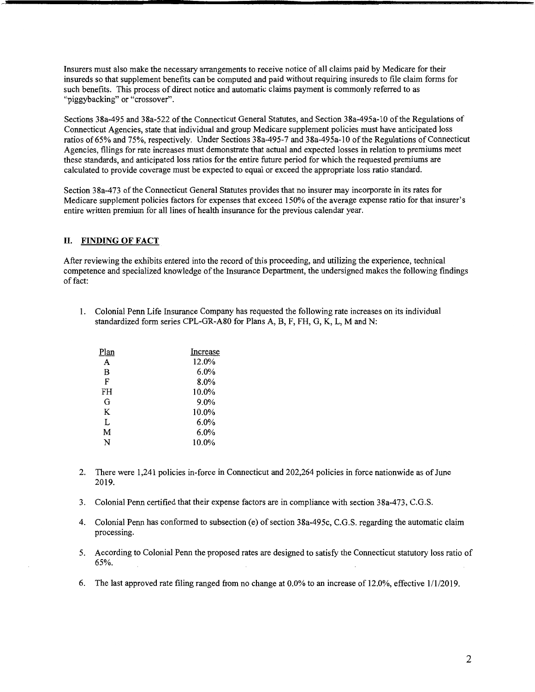Insurers must also make the necessary arrangements to receive notice of all claims paid by Medicare for their insureds so that supplement benefits can be computed and paid without requiring insureds to file claim forms for such benefits. This process of direct notice and automatic claims payment is commonly referred to as "piggybacking" or "crossover".

Sections 38a-495 and 38a-522 of the Connecticut General Statutes, and Section 38a-495a-10 of the Regulations of Connecticut Agencies, state that individual and group Medicare supplement policies must have anticipated loss ratios of65% and 75%, respectively. Under Sections 38a-495-7 and 38a-495a-10 of the Regulations of Connecticut Agencies, filings for rate increases must demonstrate that actual and expected losses in relation to premiums meet these standards, and anticipated loss ratios for the entire future period for which the requested premiums are calculated to provide coverage must be expected to equal or exceed the appropriate loss ratio standard.

Section 38a-473 of the Connecticut General Statutes provides that no insurer may incorporate in its rates for Medicare supplement policies factors for expenses that exceed 150% of the average expense ratio for that insurer's entire written premium for all lines of health insurance for the previous calendar year.

#### **II. FINDING OF FACT**

After reviewing the exhibits entered into the record of this proceeding, and utilizing the experience, technical competence and specialized knowledge of the Insurance Department, the undersigned makes the following findings of fact:

l. Colonial Penn Life Insurance Company has requested the following rate increases on its individual standardized form series CPL-GR-A80 for Plans A, B, F, FH, G, K, L, Mand N:

| Plan | Increase |
|------|----------|
| A    | 12.0%    |
| B    | $6.0\%$  |
| F    | 8.0%     |
| FH   | 10.0%    |
| G    | 9.0%     |
| K    | 10.0%    |
| L    | $6.0\%$  |
| M    | 6.0%     |
| N    | 10.0%    |
|      |          |

- 2. There were 1,241 policies in-force in Connecticut and 202,264 policies in force nationwide as of June 2019.
- 3. Colonial Penn certified that their expense factors are in compliance with section 38a-473, C.G.S.
- 4. Colonial Penn has conformed to subsection (e) of section 38a-495c, C.G.S. regarding the automatic claim processing.
- 5. According to Colonial Penn the proposed rates are designed to satisfy the Connecticut statutory loss ratio of 65%.
- 6. The last approved rate filing ranged from no change at 0.0% to an increase of 12.0%, effective 1/1/2019.